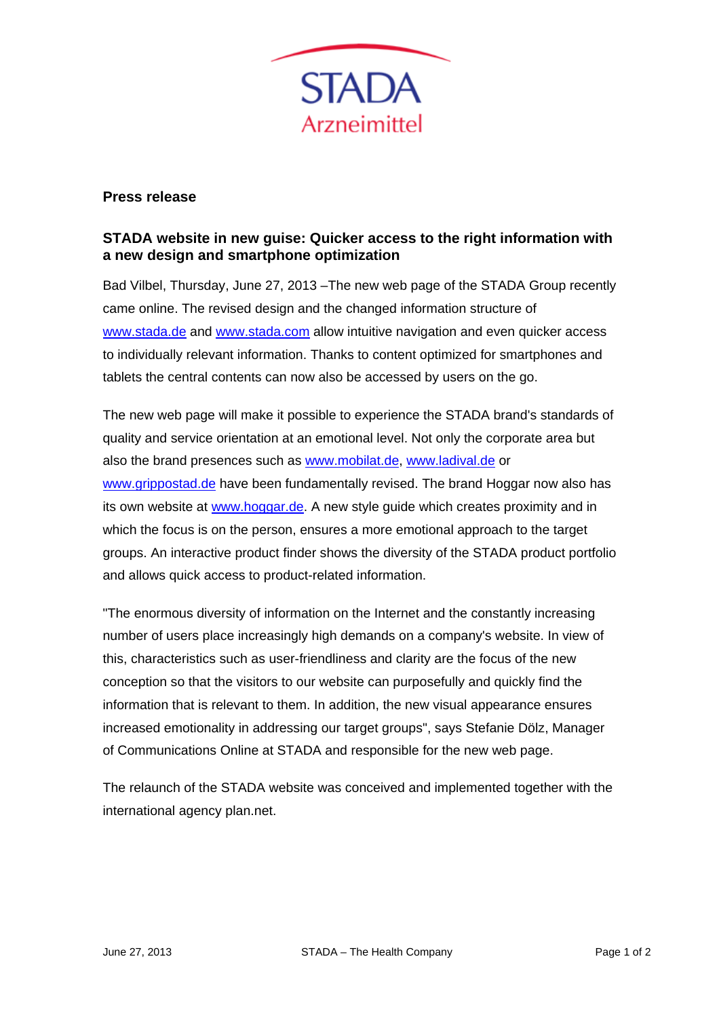

## **Press release**

## **STADA website in new guise: Quicker access to the right information with a new design and smartphone optimization**

Bad Vilbel, Thursday, June 27, 2013 –The new web page of the STADA Group recently came online. The revised design and the changed information structure of www.stada.de and www.stada.com allow intuitive navigation and even quicker access to individually relevant information. Thanks to content optimized for smartphones and tablets the central contents can now also be accessed by users on the go.

The new web page will make it possible to experience the STADA brand's standards of quality and service orientation at an emotional level. Not only the corporate area but also the brand presences such as www.mobilat.de, www.ladival.de or www.grippostad.de have been fundamentally revised. The brand Hoggar now also has its own website at www.hoggar.de. A new style guide which creates proximity and in which the focus is on the person, ensures a more emotional approach to the target groups. An interactive product finder shows the diversity of the STADA product portfolio and allows quick access to product-related information.

"The enormous diversity of information on the Internet and the constantly increasing number of users place increasingly high demands on a company's website. In view of this, characteristics such as user-friendliness and clarity are the focus of the new conception so that the visitors to our website can purposefully and quickly find the information that is relevant to them. In addition, the new visual appearance ensures increased emotionality in addressing our target groups", says Stefanie Dölz, Manager of Communications Online at STADA and responsible for the new web page.

The relaunch of the STADA website was conceived and implemented together with the international agency plan.net.